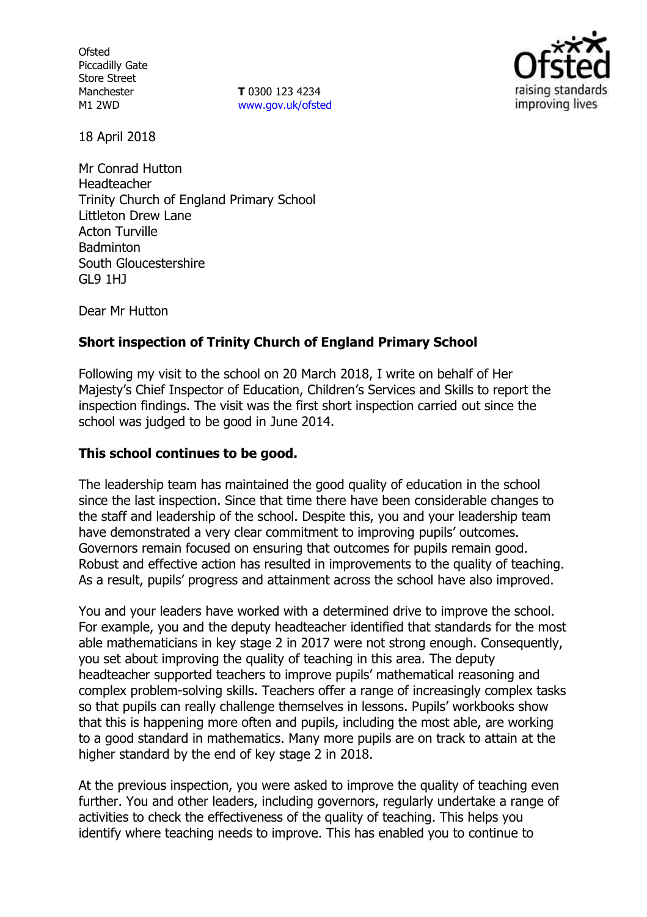**Ofsted** Piccadilly Gate Store Street Manchester M1 2WD

**T** 0300 123 4234 www.gov.uk/ofsted



18 April 2018

Mr Conrad Hutton Headteacher Trinity Church of England Primary School Littleton Drew Lane Acton Turville **Badminton** South Gloucestershire GL9 1HJ

Dear Mr Hutton

# **Short inspection of Trinity Church of England Primary School**

Following my visit to the school on 20 March 2018, I write on behalf of Her Majesty's Chief Inspector of Education, Children's Services and Skills to report the inspection findings. The visit was the first short inspection carried out since the school was judged to be good in June 2014.

## **This school continues to be good.**

The leadership team has maintained the good quality of education in the school since the last inspection. Since that time there have been considerable changes to the staff and leadership of the school. Despite this, you and your leadership team have demonstrated a very clear commitment to improving pupils' outcomes. Governors remain focused on ensuring that outcomes for pupils remain good. Robust and effective action has resulted in improvements to the quality of teaching. As a result, pupils' progress and attainment across the school have also improved.

You and your leaders have worked with a determined drive to improve the school. For example, you and the deputy headteacher identified that standards for the most able mathematicians in key stage 2 in 2017 were not strong enough. Consequently, you set about improving the quality of teaching in this area. The deputy headteacher supported teachers to improve pupils' mathematical reasoning and complex problem-solving skills. Teachers offer a range of increasingly complex tasks so that pupils can really challenge themselves in lessons. Pupils' workbooks show that this is happening more often and pupils, including the most able, are working to a good standard in mathematics. Many more pupils are on track to attain at the higher standard by the end of key stage 2 in 2018.

At the previous inspection, you were asked to improve the quality of teaching even further. You and other leaders, including governors, regularly undertake a range of activities to check the effectiveness of the quality of teaching. This helps you identify where teaching needs to improve. This has enabled you to continue to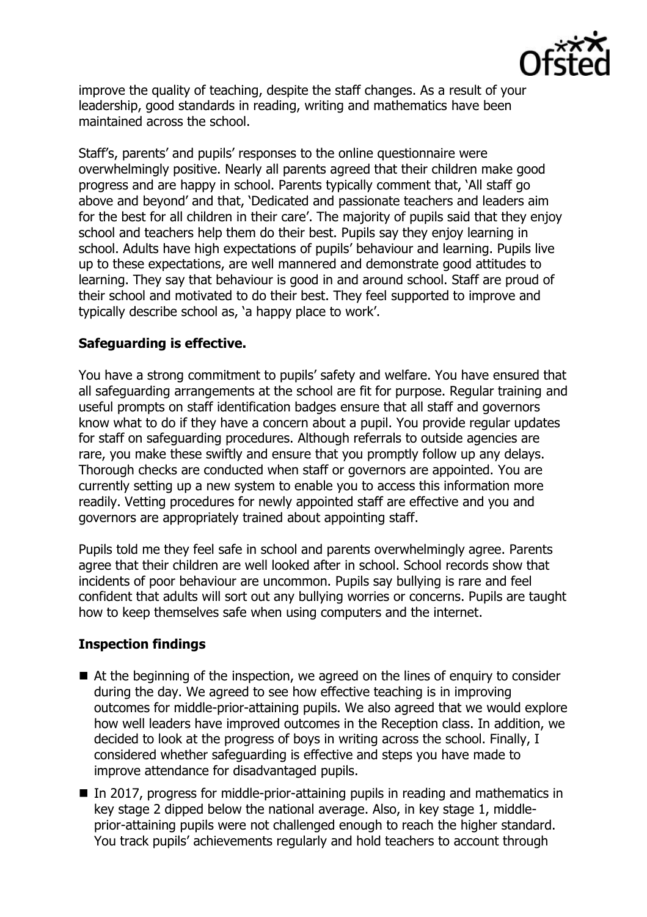

improve the quality of teaching, despite the staff changes. As a result of your leadership, good standards in reading, writing and mathematics have been maintained across the school.

Staff's, parents' and pupils' responses to the online questionnaire were overwhelmingly positive. Nearly all parents agreed that their children make good progress and are happy in school. Parents typically comment that, 'All staff go above and beyond' and that, 'Dedicated and passionate teachers and leaders aim for the best for all children in their care'. The majority of pupils said that they enjoy school and teachers help them do their best. Pupils say they enjoy learning in school. Adults have high expectations of pupils' behaviour and learning. Pupils live up to these expectations, are well mannered and demonstrate good attitudes to learning. They say that behaviour is good in and around school. Staff are proud of their school and motivated to do their best. They feel supported to improve and typically describe school as, 'a happy place to work'.

## **Safeguarding is effective.**

You have a strong commitment to pupils' safety and welfare. You have ensured that all safeguarding arrangements at the school are fit for purpose. Regular training and useful prompts on staff identification badges ensure that all staff and governors know what to do if they have a concern about a pupil. You provide regular updates for staff on safeguarding procedures. Although referrals to outside agencies are rare, you make these swiftly and ensure that you promptly follow up any delays. Thorough checks are conducted when staff or governors are appointed. You are currently setting up a new system to enable you to access this information more readily. Vetting procedures for newly appointed staff are effective and you and governors are appropriately trained about appointing staff.

Pupils told me they feel safe in school and parents overwhelmingly agree. Parents agree that their children are well looked after in school. School records show that incidents of poor behaviour are uncommon. Pupils say bullying is rare and feel confident that adults will sort out any bullying worries or concerns. Pupils are taught how to keep themselves safe when using computers and the internet.

# **Inspection findings**

- At the beginning of the inspection, we agreed on the lines of enguiry to consider during the day. We agreed to see how effective teaching is in improving outcomes for middle-prior-attaining pupils. We also agreed that we would explore how well leaders have improved outcomes in the Reception class. In addition, we decided to look at the progress of boys in writing across the school. Finally, I considered whether safeguarding is effective and steps you have made to improve attendance for disadvantaged pupils.
- In 2017, progress for middle-prior-attaining pupils in reading and mathematics in key stage 2 dipped below the national average. Also, in key stage 1, middleprior-attaining pupils were not challenged enough to reach the higher standard. You track pupils' achievements regularly and hold teachers to account through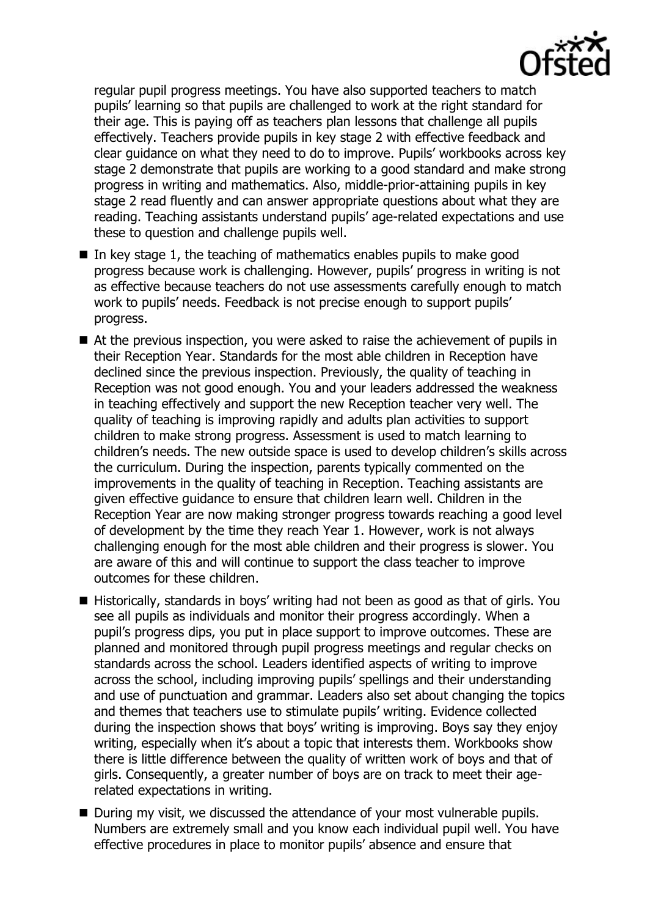

regular pupil progress meetings. You have also supported teachers to match pupils' learning so that pupils are challenged to work at the right standard for their age. This is paying off as teachers plan lessons that challenge all pupils effectively. Teachers provide pupils in key stage 2 with effective feedback and clear guidance on what they need to do to improve. Pupils' workbooks across key stage 2 demonstrate that pupils are working to a good standard and make strong progress in writing and mathematics. Also, middle-prior-attaining pupils in key stage 2 read fluently and can answer appropriate questions about what they are reading. Teaching assistants understand pupils' age-related expectations and use these to question and challenge pupils well.

- $\blacksquare$  In key stage 1, the teaching of mathematics enables pupils to make good progress because work is challenging. However, pupils' progress in writing is not as effective because teachers do not use assessments carefully enough to match work to pupils' needs. Feedback is not precise enough to support pupils' progress.
- At the previous inspection, you were asked to raise the achievement of pupils in their Reception Year. Standards for the most able children in Reception have declined since the previous inspection. Previously, the quality of teaching in Reception was not good enough. You and your leaders addressed the weakness in teaching effectively and support the new Reception teacher very well. The quality of teaching is improving rapidly and adults plan activities to support children to make strong progress. Assessment is used to match learning to children's needs. The new outside space is used to develop children's skills across the curriculum. During the inspection, parents typically commented on the improvements in the quality of teaching in Reception. Teaching assistants are given effective guidance to ensure that children learn well. Children in the Reception Year are now making stronger progress towards reaching a good level of development by the time they reach Year 1. However, work is not always challenging enough for the most able children and their progress is slower. You are aware of this and will continue to support the class teacher to improve outcomes for these children.
- Historically, standards in boys' writing had not been as good as that of girls. You see all pupils as individuals and monitor their progress accordingly. When a pupil's progress dips, you put in place support to improve outcomes. These are planned and monitored through pupil progress meetings and regular checks on standards across the school. Leaders identified aspects of writing to improve across the school, including improving pupils' spellings and their understanding and use of punctuation and grammar. Leaders also set about changing the topics and themes that teachers use to stimulate pupils' writing. Evidence collected during the inspection shows that boys' writing is improving. Boys say they enjoy writing, especially when it's about a topic that interests them. Workbooks show there is little difference between the quality of written work of boys and that of girls. Consequently, a greater number of boys are on track to meet their agerelated expectations in writing.
- During my visit, we discussed the attendance of your most vulnerable pupils. Numbers are extremely small and you know each individual pupil well. You have effective procedures in place to monitor pupils' absence and ensure that